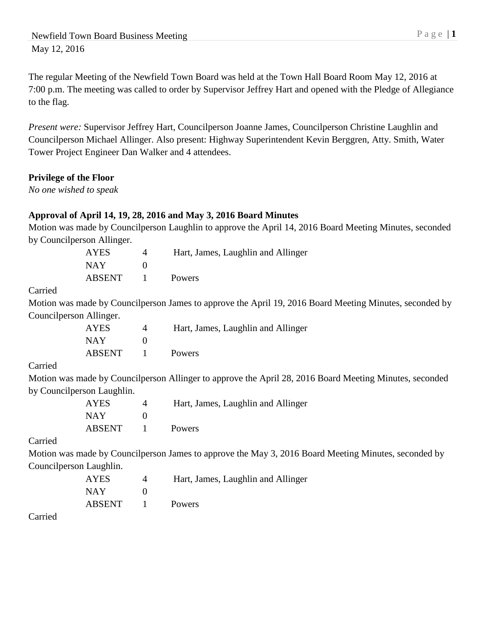The regular Meeting of the Newfield Town Board was held at the Town Hall Board Room May 12, 2016 at 7:00 p.m. The meeting was called to order by Supervisor Jeffrey Hart and opened with the Pledge of Allegiance to the flag.

*Present were:* Supervisor Jeffrey Hart, Councilperson Joanne James, Councilperson Christine Laughlin and Councilperson Michael Allinger. Also present: Highway Superintendent Kevin Berggren, Atty. Smith, Water Tower Project Engineer Dan Walker and 4 attendees.

# **Privilege of the Floor**

*No one wished to speak*

# **Approval of April 14, 19, 28, 2016 and May 3, 2016 Board Minutes**

Motion was made by Councilperson Laughlin to approve the April 14, 2016 Board Meeting Minutes, seconded by Councilperson Allinger.

| AYES          | Hart, James, Laughlin and Allinger |
|---------------|------------------------------------|
| <b>NAY</b>    |                                    |
| <b>ABSENT</b> | Powers                             |

#### Carried

Motion was made by Councilperson James to approve the April 19, 2016 Board Meeting Minutes, seconded by Councilperson Allinger.

| <b>AYES</b> | Hart, James, Laughlin and Allinger |
|-------------|------------------------------------|
| <b>NAY</b>  |                                    |
| ABSENT      | <b>Powers</b>                      |

#### Carried

Motion was made by Councilperson Allinger to approve the April 28, 2016 Board Meeting Minutes, seconded by Councilperson Laughlin.

| AYES   | $\Delta$ | Hart, James, Laughlin and Allinger |
|--------|----------|------------------------------------|
| NAY    |          |                                    |
| ABSENT |          | <b>Powers</b>                      |

#### Carried

Motion was made by Councilperson James to approve the May 3, 2016 Board Meeting Minutes, seconded by Councilperson Laughlin.

| <b>AYES</b> | Hart, James, Laughlin and Allinger |
|-------------|------------------------------------|
| <b>NAY</b>  |                                    |
| ABSENT      | <b>Powers</b>                      |

Carried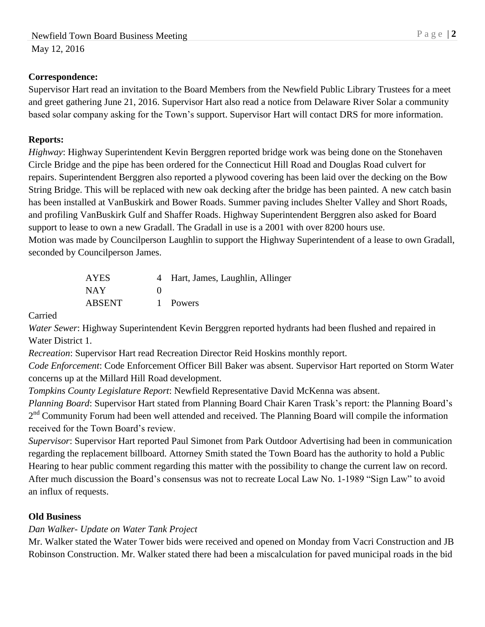# **Correspondence:**

Supervisor Hart read an invitation to the Board Members from the Newfield Public Library Trustees for a meet and greet gathering June 21, 2016. Supervisor Hart also read a notice from Delaware River Solar a community based solar company asking for the Town's support. Supervisor Hart will contact DRS for more information.

## **Reports:**

*Highway*: Highway Superintendent Kevin Berggren reported bridge work was being done on the Stonehaven Circle Bridge and the pipe has been ordered for the Connecticut Hill Road and Douglas Road culvert for repairs. Superintendent Berggren also reported a plywood covering has been laid over the decking on the Bow String Bridge. This will be replaced with new oak decking after the bridge has been painted. A new catch basin has been installed at VanBuskirk and Bower Roads. Summer paving includes Shelter Valley and Short Roads, and profiling VanBuskirk Gulf and Shaffer Roads. Highway Superintendent Berggren also asked for Board support to lease to own a new Gradall. The Gradall in use is a 2001 with over 8200 hours use. Motion was made by Councilperson Laughlin to support the Highway Superintendent of a lease to own Gradall, seconded by Councilperson James.

| AYES          |                   | 4 Hart, James, Laughlin, Allinger |
|---------------|-------------------|-----------------------------------|
| NAY.          | $\mathbf{\Omega}$ |                                   |
| <b>ABSENT</b> |                   | 1 Powers                          |

Carried

*Water Sewer*: Highway Superintendent Kevin Berggren reported hydrants had been flushed and repaired in Water District 1.

*Recreation*: Supervisor Hart read Recreation Director Reid Hoskins monthly report.

*Code Enforcement*: Code Enforcement Officer Bill Baker was absent. Supervisor Hart reported on Storm Water concerns up at the Millard Hill Road development.

*Tompkins County Legislature Report*: Newfield Representative David McKenna was absent.

*Planning Board*: Supervisor Hart stated from Planning Board Chair Karen Trask's report: the Planning Board's 2<sup>nd</sup> Community Forum had been well attended and received. The Planning Board will compile the information received for the Town Board's review.

*Supervisor*: Supervisor Hart reported Paul Simonet from Park Outdoor Advertising had been in communication regarding the replacement billboard. Attorney Smith stated the Town Board has the authority to hold a Public Hearing to hear public comment regarding this matter with the possibility to change the current law on record. After much discussion the Board's consensus was not to recreate Local Law No. 1-1989 "Sign Law" to avoid an influx of requests.

# **Old Business**

# *Dan Walker- Update on Water Tank Project*

Mr. Walker stated the Water Tower bids were received and opened on Monday from Vacri Construction and JB Robinson Construction. Mr. Walker stated there had been a miscalculation for paved municipal roads in the bid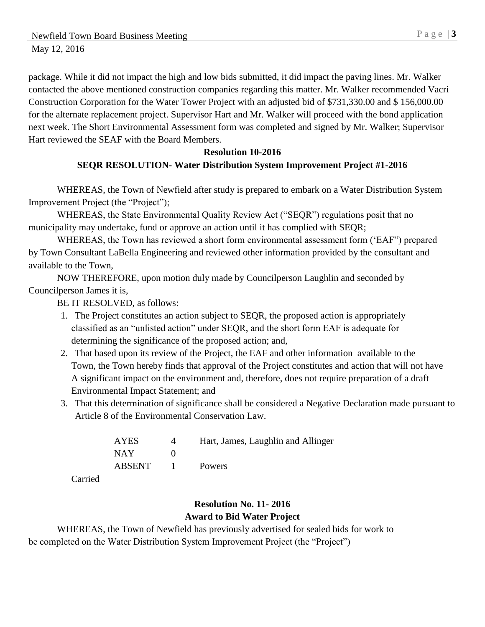package. While it did not impact the high and low bids submitted, it did impact the paving lines. Mr. Walker contacted the above mentioned construction companies regarding this matter. Mr. Walker recommended Vacri Construction Corporation for the Water Tower Project with an adjusted bid of \$731,330.00 and \$ 156,000.00 for the alternate replacement project. Supervisor Hart and Mr. Walker will proceed with the bond application next week. The Short Environmental Assessment form was completed and signed by Mr. Walker; Supervisor Hart reviewed the SEAF with the Board Members.

## **Resolution 10-2016**

# **SEQR RESOLUTION- Water Distribution System Improvement Project #1-2016**

WHEREAS, the Town of Newfield after study is prepared to embark on a Water Distribution System Improvement Project (the "Project");

WHEREAS, the State Environmental Quality Review Act ("SEQR") regulations posit that no municipality may undertake, fund or approve an action until it has complied with SEQR;

WHEREAS, the Town has reviewed a short form environmental assessment form ('EAF") prepared by Town Consultant LaBella Engineering and reviewed other information provided by the consultant and available to the Town,

NOW THEREFORE, upon motion duly made by Councilperson Laughlin and seconded by Councilperson James it is,

BE IT RESOLVED, as follows:

- 1. The Project constitutes an action subject to SEQR, the proposed action is appropriately classified as an "unlisted action" under SEQR, and the short form EAF is adequate for determining the significance of the proposed action; and,
- 2. That based upon its review of the Project, the EAF and other information available to the Town, the Town hereby finds that approval of the Project constitutes and action that will not have A significant impact on the environment and, therefore, does not require preparation of a draft Environmental Impact Statement; and
- 3. That this determination of significance shall be considered a Negative Declaration made pursuant to Article 8 of the Environmental Conservation Law.

| <b>AYES</b>   |                 | Hart, James, Laughlin and Allinger |
|---------------|-----------------|------------------------------------|
| NAY.          |                 |                                    |
| <b>ABSENT</b> | $\sim$ 1 $\sim$ | Powers                             |

Carried

# **Resolution No. 11- 2016 Award to Bid Water Project**

WHEREAS, the Town of Newfield has previously advertised for sealed bids for work to be completed on the Water Distribution System Improvement Project (the "Project")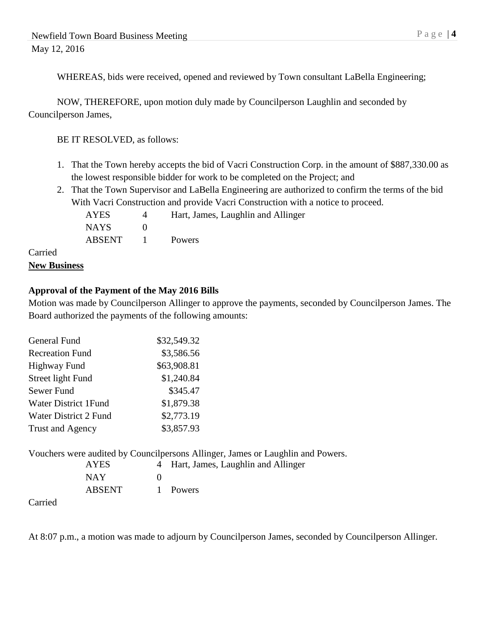WHEREAS, bids were received, opened and reviewed by Town consultant LaBella Engineering;

NOW, THEREFORE, upon motion duly made by Councilperson Laughlin and seconded by Councilperson James,

BE IT RESOLVED, as follows:

- 1. That the Town hereby accepts the bid of Vacri Construction Corp. in the amount of \$887,330.00 as the lowest responsible bidder for work to be completed on the Project; and
- 2. That the Town Supervisor and LaBella Engineering are authorized to confirm the terms of the bid With Vacri Construction and provide Vacri Construction with a notice to proceed.

AYES 4 Hart, James, Laughlin and Allinger NAYS 0 ABSENT 1 Powers

# Carried **New Business**

# **Approval of the Payment of the May 2016 Bills**

Motion was made by Councilperson Allinger to approve the payments, seconded by Councilperson James. The Board authorized the payments of the following amounts:

| General Fund                 | \$32,549.32 |
|------------------------------|-------------|
| <b>Recreation Fund</b>       | \$3,586.56  |
| <b>Highway Fund</b>          | \$63,908.81 |
| Street light Fund            | \$1,240.84  |
| Sewer Fund                   | \$345.47    |
| <b>Water District 1Fund</b>  | \$1,879.38  |
| <b>Water District 2 Fund</b> | \$2,773.19  |
| Trust and Agency             | \$3,857.93  |

Vouchers were audited by Councilpersons Allinger, James or Laughlin and Powers.

| AYES   | 4 Hart, James, Laughlin and Allinger |
|--------|--------------------------------------|
| NAY    |                                      |
| ABSENT | 1 Powers                             |

Carried

At 8:07 p.m., a motion was made to adjourn by Councilperson James, seconded by Councilperson Allinger.